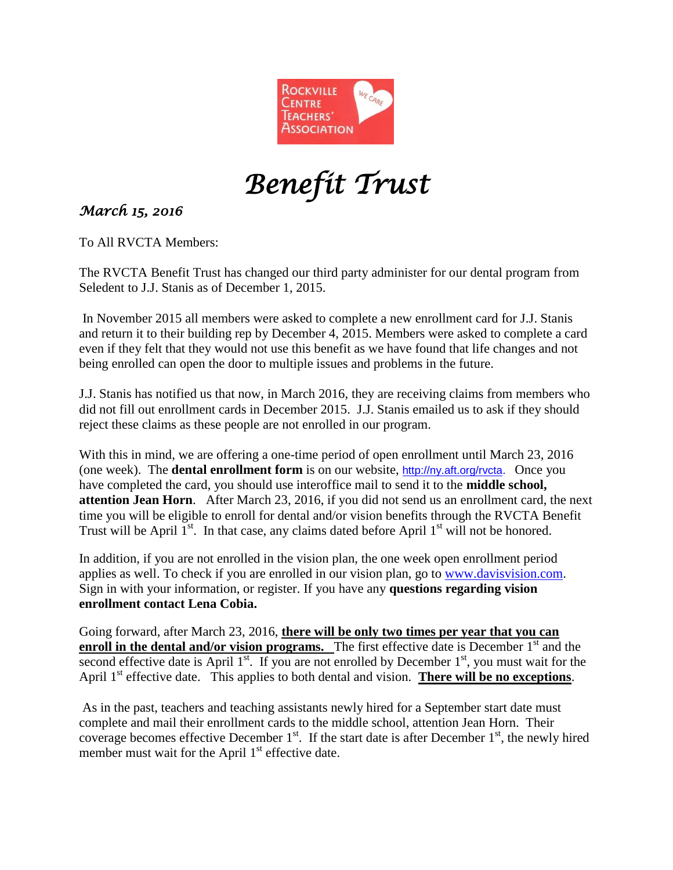

## *Benefit Trust*

## *March 15, 2016*

To All RVCTA Members:

The RVCTA Benefit Trust has changed our third party administer for our dental program from Seledent to J.J. Stanis as of December 1, 2015.

In November 2015 all members were asked to complete a new enrollment card for J.J. Stanis and return it to their building rep by December 4, 2015. Members were asked to complete a card even if they felt that they would not use this benefit as we have found that life changes and not being enrolled can open the door to multiple issues and problems in the future.

J.J. Stanis has notified us that now, in March 2016, they are receiving claims from members who did not fill out enrollment cards in December 2015. J.J. Stanis emailed us to ask if they should reject these claims as these people are not enrolled in our program.

With this in mind, we are offering a one-time period of open enrollment until March 23, 2016 (one week). The **dental enrollment form** is on our website, [http://ny.aft.org/rvcta.](http://ny.aft.org/rvcta) Once you have completed the card, you should use interoffice mail to send it to the **middle school, attention Jean Horn**. After March 23, 2016, if you did not send us an enrollment card, the next time you will be eligible to enroll for dental and/or vision benefits through the RVCTA Benefit Trust will be April 1<sup>st</sup>. In that case, any claims dated before April 1<sup>st</sup> will not be honored.

In addition, if you are not enrolled in the vision plan, the one week open enrollment period applies as well. To check if you are enrolled in our vision plan, go to [www.davisvision.com.](http://www.davisvision.com/) Sign in with your information, or register. If you have any **questions regarding vision enrollment contact Lena Cobia.** 

Going forward, after March 23, 2016, **there will be only two times per year that you can enroll in the dental and/or vision programs.** The first effective date is December  $1<sup>st</sup>$  and the second effective date is April  $1<sup>st</sup>$ . If you are not enrolled by December  $1<sup>st</sup>$ , you must wait for the April 1<sup>st</sup> effective date. This applies to both dental and vision. **There will be no exceptions**.

As in the past, teachers and teaching assistants newly hired for a September start date must complete and mail their enrollment cards to the middle school, attention Jean Horn. Their coverage becomes effective December  $1<sup>st</sup>$ . If the start date is after December  $1<sup>st</sup>$ , the newly hired member must wait for the April  $1<sup>st</sup>$  effective date.